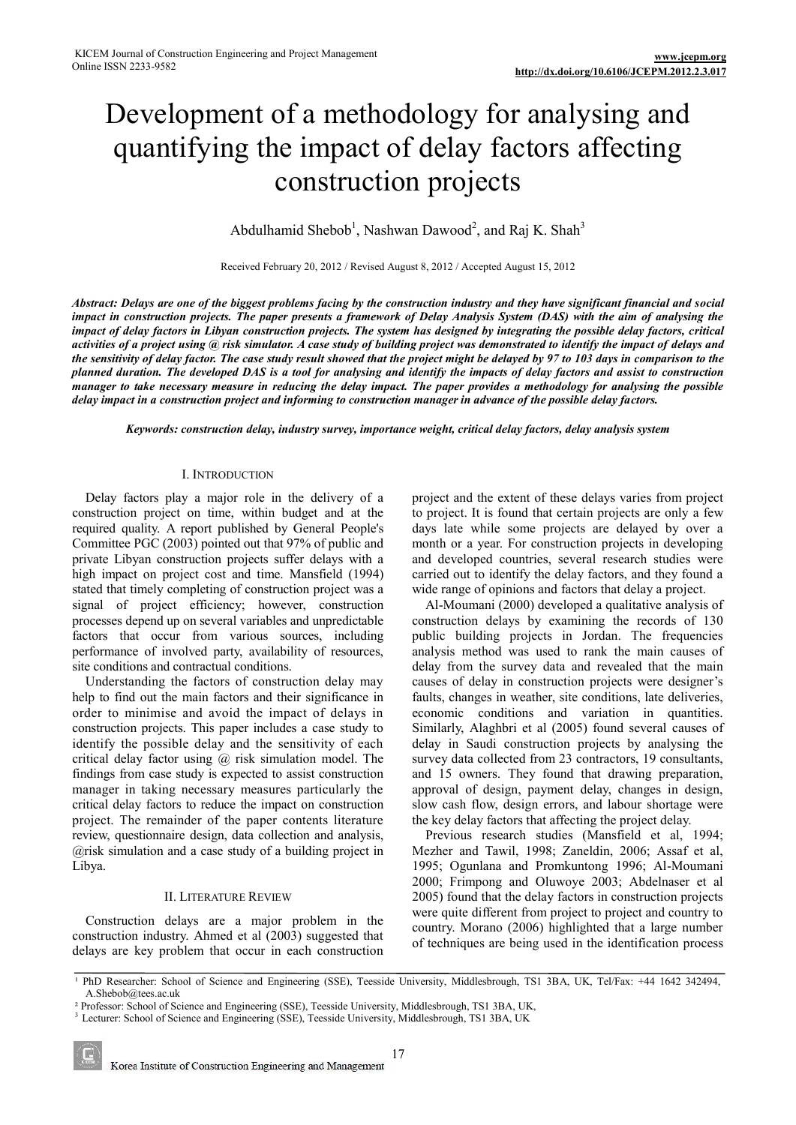# Development of a methodology for analysing and quantifying the impact of delay factors affecting construction projects

Abdulhamid Shebob<sup>1</sup>, Nashwan Dawood<sup>2</sup>, and Raj K. Shah<sup>3</sup>

Received February 20, 2012 / Revised August 8, 2012 / Accepted August 15, 2012

*Abstract: Delays are one of the biggest problems facing by the construction industry and they have significant financial and social impact in construction projects. The paper presents a framework of Delay Analysis System (DAS) with the aim of analysing the impact of delay factors in Libyan construction projects. The system has designed by integrating the possible delay factors, critical activities of a project using @ risk simulator. A case study of building project was demonstrated to identify the impact of delays and the sensitivity of delay factor. The case study result showed that the project might be delayed by 97 to 103 days in comparison to the planned duration. The developed DAS is a tool for analysing and identify the impacts of delay factors and assist to construction manager to take necessary measure in reducing the delay impact. The paper provides a methodology for analysing the possible delay impact in a construction project and informing to construction manager in advance of the possible delay factors.* 

*Keywords: construction delay, industry survey, importance weight, critical delay factors, delay analysis system*

## I. INTRODUCTION

Delay factors play a major role in the delivery of a construction project on time, within budget and at the required quality. A report published by General People's Committee PGC (2003) pointed out that 97% of public and private Libyan construction projects suffer delays with a high impact on project cost and time. Mansfield (1994) stated that timely completing of construction project was a signal of project efficiency; however, construction processes depend up on several variables and unpredictable factors that occur from various sources, including performance of involved party, availability of resources, site conditions and contractual conditions.

Understanding the factors of construction delay may help to find out the main factors and their significance in order to minimise and avoid the impact of delays in construction projects. This paper includes a case study to identify the possible delay and the sensitivity of each critical delay factor using @ risk simulation model. The findings from case study is expected to assist construction manager in taking necessary measures particularly the critical delay factors to reduce the impact on construction project. The remainder of the paper contents literature review, questionnaire design, data collection and analysis, @risk simulation and a case study of a building project in Libya.

## II. LITERATURE REVIEW

Construction delays are a major problem in the construction industry. Ahmed et al (2003) suggested that delays are key problem that occur in each construction

project and the extent of these delays varies from project to project. It is found that certain projects are only a few days late while some projects are delayed by over a month or a year. For construction projects in developing and developed countries, several research studies were carried out to identify the delay factors, and they found a wide range of opinions and factors that delay a project.

Al-Moumani (2000) developed a qualitative analysis of construction delays by examining the records of 130 public building projects in Jordan. The frequencies analysis method was used to rank the main causes of delay from the survey data and revealed that the main causes of delay in construction projects were designer's faults, changes in weather, site conditions, late deliveries, economic conditions and variation in quantities. Similarly, Alaghbri et al (2005) found several causes of delay in Saudi construction projects by analysing the survey data collected from 23 contractors, 19 consultants, and 15 owners. They found that drawing preparation, approval of design, payment delay, changes in design, slow cash flow, design errors, and labour shortage were the key delay factors that affecting the project delay.

Previous research studies (Mansfield et al, 1994; Mezher and Tawil, 1998; Zaneldin, 2006; Assaf et al, 1995; Ogunlana and Promkuntong 1996; Al-Moumani 2000; Frimpong and Oluwoye 2003; Abdelnaser et al 2005) found that the delay factors in construction projects were quite different from project to project and country to country. Morano (2006) highlighted that a large number of techniques are being used in the identification process

<sup>&</sup>lt;sup>1</sup> PhD Researcher: School of Science and Engineering (SSE), Teesside University, Middlesbrough, TS1 3BA, UK, Tel/Fax: +44 1642 342494, A.Shebob@tees.ac.uk

² Professor: School of Science and Engineering (SSE), Teesside University, Middlesbrough, TS1 3BA, UK,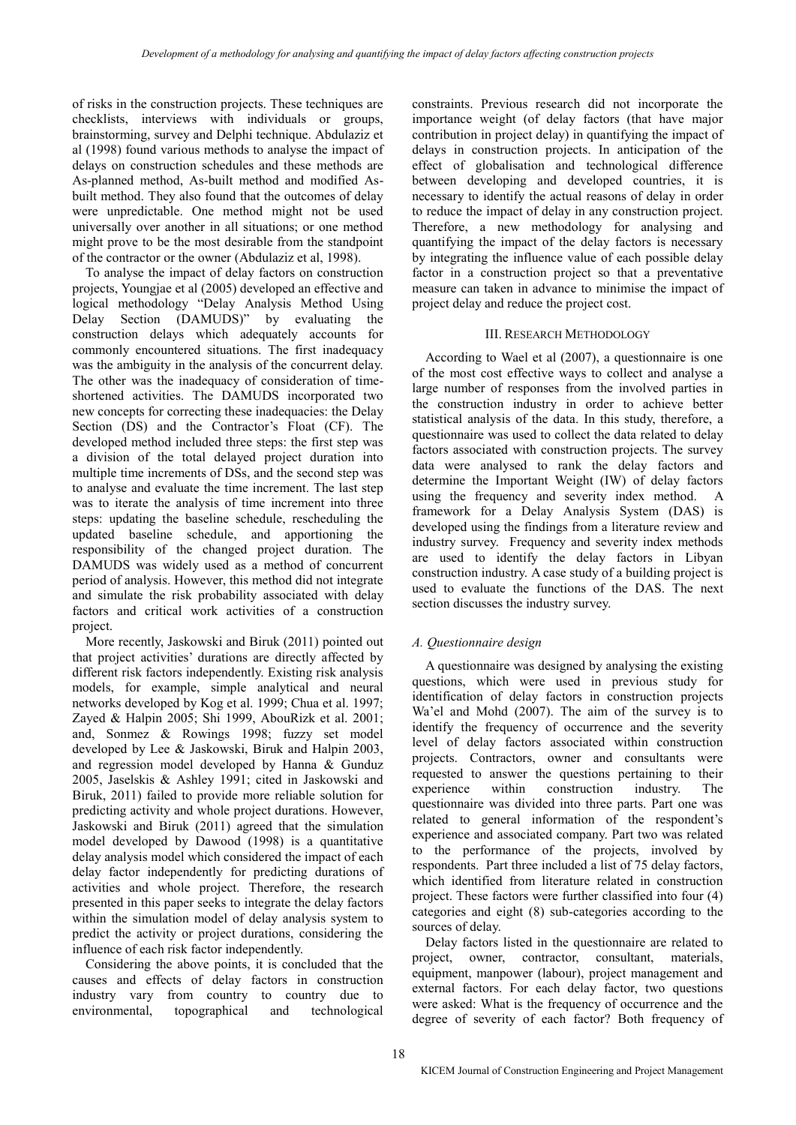of risks in the construction projects. These techniques are checklists, interviews with individuals or groups, brainstorming, survey and Delphi technique. Abdulaziz et al (1998) found various methods to analyse the impact of delays on construction schedules and these methods are As-planned method, As-built method and modified Asbuilt method. They also found that the outcomes of delay were unpredictable. One method might not be used universally over another in all situations; or one method might prove to be the most desirable from the standpoint of the contractor or the owner (Abdulaziz et al, 1998).

To analyse the impact of delay factors on construction projects, Youngjae et al (2005) developed an effective and logical methodology "Delay Analysis Method Using Delay Section (DAMUDS)" by evaluating the construction delays which adequately accounts for commonly encountered situations. The first inadequacy was the ambiguity in the analysis of the concurrent delay. The other was the inadequacy of consideration of timeshortened activities. The DAMUDS incorporated two new concepts for correcting these inadequacies: the Delay Section (DS) and the Contractor's Float (CF). The developed method included three steps: the first step was a division of the total delayed project duration into multiple time increments of DSs, and the second step was to analyse and evaluate the time increment. The last step was to iterate the analysis of time increment into three steps: updating the baseline schedule, rescheduling the updated baseline schedule, and apportioning the responsibility of the changed project duration. The DAMUDS was widely used as a method of concurrent period of analysis. However, this method did not integrate and simulate the risk probability associated with delay factors and critical work activities of a construction project.

More recently, Jaskowski and Biruk (2011) pointed out that project activities' durations are directly affected by different risk factors independently. Existing risk analysis models, for example, simple analytical and neural networks developed by Kog et al. 1999; Chua et al. 1997; Zayed & Halpin 2005; Shi 1999, AbouRizk et al. 2001; and, Sonmez & Rowings 1998; fuzzy set model developed by Lee & Jaskowski, Biruk and Halpin 2003, and regression model developed by Hanna & Gunduz 2005, Jaselskis & Ashley 1991; cited in Jaskowski and Biruk, 2011) failed to provide more reliable solution for predicting activity and whole project durations. However, Jaskowski and Biruk (2011) agreed that the simulation model developed by Dawood (1998) is a quantitative delay analysis model which considered the impact of each delay factor independently for predicting durations of activities and whole project. Therefore, the research presented in this paper seeks to integrate the delay factors within the simulation model of delay analysis system to predict the activity or project durations, considering the influence of each risk factor independently.

Considering the above points, it is concluded that the causes and effects of delay factors in construction industry vary from country to country due to environmental, topographical and technological constraints. Previous research did not incorporate the importance weight (of delay factors (that have major contribution in project delay) in quantifying the impact of delays in construction projects. In anticipation of the effect of globalisation and technological difference between developing and developed countries, it is necessary to identify the actual reasons of delay in order to reduce the impact of delay in any construction project. Therefore, a new methodology for analysing and quantifying the impact of the delay factors is necessary by integrating the influence value of each possible delay factor in a construction project so that a preventative measure can taken in advance to minimise the impact of project delay and reduce the project cost.

## III. RESEARCH METHODOLOGY

According to Wael et al (2007), a questionnaire is one of the most cost effective ways to collect and analyse a large number of responses from the involved parties in the construction industry in order to achieve better statistical analysis of the data. In this study, therefore, a questionnaire was used to collect the data related to delay factors associated with construction projects. The survey data were analysed to rank the delay factors and determine the Important Weight (IW) of delay factors using the frequency and severity index method. A framework for a Delay Analysis System (DAS) is developed using the findings from a literature review and industry survey. Frequency and severity index methods are used to identify the delay factors in Libyan construction industry. A case study of a building project is used to evaluate the functions of the DAS. The next section discusses the industry survey.

# *A. Questionnaire design*

A questionnaire was designed by analysing the existing questions, which were used in previous study for identification of delay factors in construction projects Wa'el and Mohd (2007). The aim of the survey is to identify the frequency of occurrence and the severity level of delay factors associated within construction projects. Contractors, owner and consultants were requested to answer the questions pertaining to their<br>experience within construction industry. The experience within construction industry. The questionnaire was divided into three parts. Part one was related to general information of the respondent's experience and associated company. Part two was related to the performance of the projects, involved by respondents. Part three included a list of 75 delay factors, which identified from literature related in construction project. These factors were further classified into four (4) categories and eight (8) sub-categories according to the sources of delay.

Delay factors listed in the questionnaire are related to project, owner, contractor, consultant, materials, equipment, manpower (labour), project management and external factors. For each delay factor, two questions were asked: What is the frequency of occurrence and the degree of severity of each factor? Both frequency of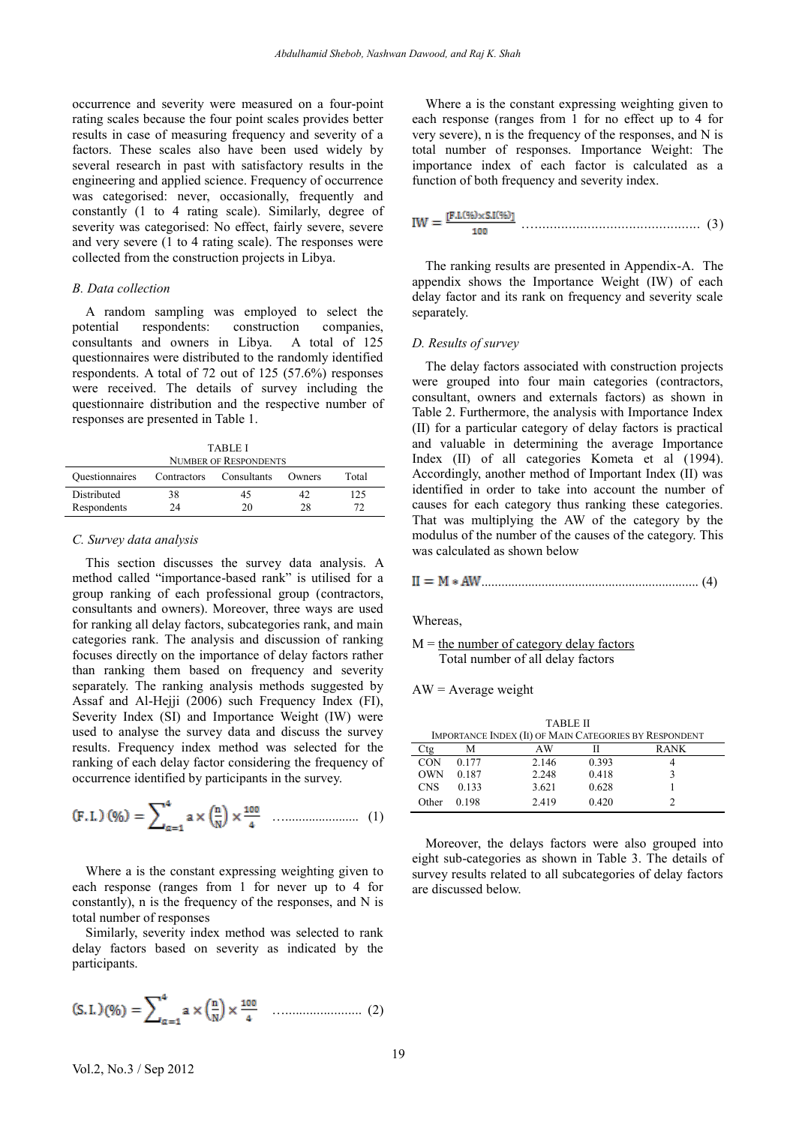occurrence and severity were measured on a four-point rating scales because the four point scales provides better results in case of measuring frequency and severity of a factors. These scales also have been used widely by several research in past with satisfactory results in the engineering and applied science. Frequency of occurrence was categorised: never, occasionally, frequently and constantly (1 to 4 rating scale). Similarly, degree of severity was categorised: No effect, fairly severe, severe and very severe (1 to 4 rating scale). The responses were collected from the construction projects in Libya.

## *B. Data collection*

A random sampling was employed to select the potential respondents: construction companies, consultants and owners in Libya. A total of 125 questionnaires were distributed to the randomly identified respondents. A total of 72 out of 125 (57.6%) responses were received. The details of survey including the questionnaire distribution and the respective number of responses are presented in Table 1.

TABLE I NUMBER OF RESPONDENTS

| INUMBER OF INESPOINDENTS   |             |             |          |       |  |  |  |  |  |
|----------------------------|-------------|-------------|----------|-------|--|--|--|--|--|
| <b>Questionnaires</b>      | Contractors | Consultants | Owners   | Total |  |  |  |  |  |
| Distributed<br>Respondents | 38<br>74.   | 45<br>20    | 42<br>28 | 125   |  |  |  |  |  |
|                            |             |             |          |       |  |  |  |  |  |

#### *C. Survey data analysis*

This section discusses the survey data analysis. A method called "importance-based rank" is utilised for a group ranking of each professional group (contractors, consultants and owners). Moreover, three ways are used for ranking all delay factors, subcategories rank, and main categories rank. The analysis and discussion of ranking focuses directly on the importance of delay factors rather than ranking them based on frequency and severity separately. The ranking analysis methods suggested by Assaf and Al-Hejji (2006) such Frequency Index (FI), Severity Index (SI) and Importance Weight (IW) were used to analyse the survey data and discuss the survey results. Frequency index method was selected for the ranking of each delay factor considering the frequency of occurrence identified by participants in the survey.

(F.I.) (96) = 
$$
\sum_{\alpha=1}^{4} a \times \left(\frac{n}{N}\right) \times \frac{100}{4}
$$
 (1)

Where a is the constant expressing weighting given to each response (ranges from 1 for never up to 4 for constantly), n is the frequency of the responses, and N is total number of responses

Similarly, severity index method was selected to rank delay factors based on severity as indicated by the participants.

$$
(S.L)(\%) = \sum_{\alpha=1}^{4} a \times \left(\frac{n}{N}\right) \times \frac{100}{4} \quad \dots \dots \dots \dots \dots \dots \dots \dots \tag{2}
$$

Where a is the constant expressing weighting given to each response (ranges from 1 for no effect up to 4 for very severe), n is the frequency of the responses, and N is total number of responses. Importance Weight: The importance index of each factor is calculated as a function of both frequency and severity index.

…............................................ (3)

The ranking results are presented in Appendix-A. The appendix shows the Importance Weight (IW) of each delay factor and its rank on frequency and severity scale separately.

## *D. Results of survey*

The delay factors associated with construction projects were grouped into four main categories (contractors, consultant, owners and externals factors) as shown in Table 2. Furthermore, the analysis with Importance Index (II) for a particular category of delay factors is practical and valuable in determining the average Importance Index (II) of all categories Kometa et al (1994). Accordingly, another method of Important Index (II) was identified in order to take into account the number of causes for each category thus ranking these categories. That was multiplying the AW of the category by the modulus of the number of the causes of the category. This was calculated as shown below

................................................................. (4)

**Whereas** 

```
M = the number of category delay factors
Total number of all delay factors
```

|  |  | $AW = Average weight$ |  |
|--|--|-----------------------|--|
|--|--|-----------------------|--|

| <b>TABLE II</b>                                        |       |       |       |             |  |  |  |  |  |
|--------------------------------------------------------|-------|-------|-------|-------------|--|--|--|--|--|
| IMPORTANCE INDEX (II) OF MAIN CATEGORIES BY RESPONDENT |       |       |       |             |  |  |  |  |  |
| tσ                                                     | м     | AW    |       | <b>RANK</b> |  |  |  |  |  |
| <b>CON</b>                                             | 0.177 | 2.146 | 0.393 |             |  |  |  |  |  |
| <b>OWN</b>                                             | 0.187 | 2.248 | 0.418 |             |  |  |  |  |  |
| <b>CNS</b>                                             | 0.133 | 3.621 | 0.628 |             |  |  |  |  |  |
| Other                                                  | 0.198 | 2.419 | 0.420 |             |  |  |  |  |  |

Moreover, the delays factors were also grouped into eight sub-categories as shown in Table 3. The details of survey results related to all subcategories of delay factors are discussed below.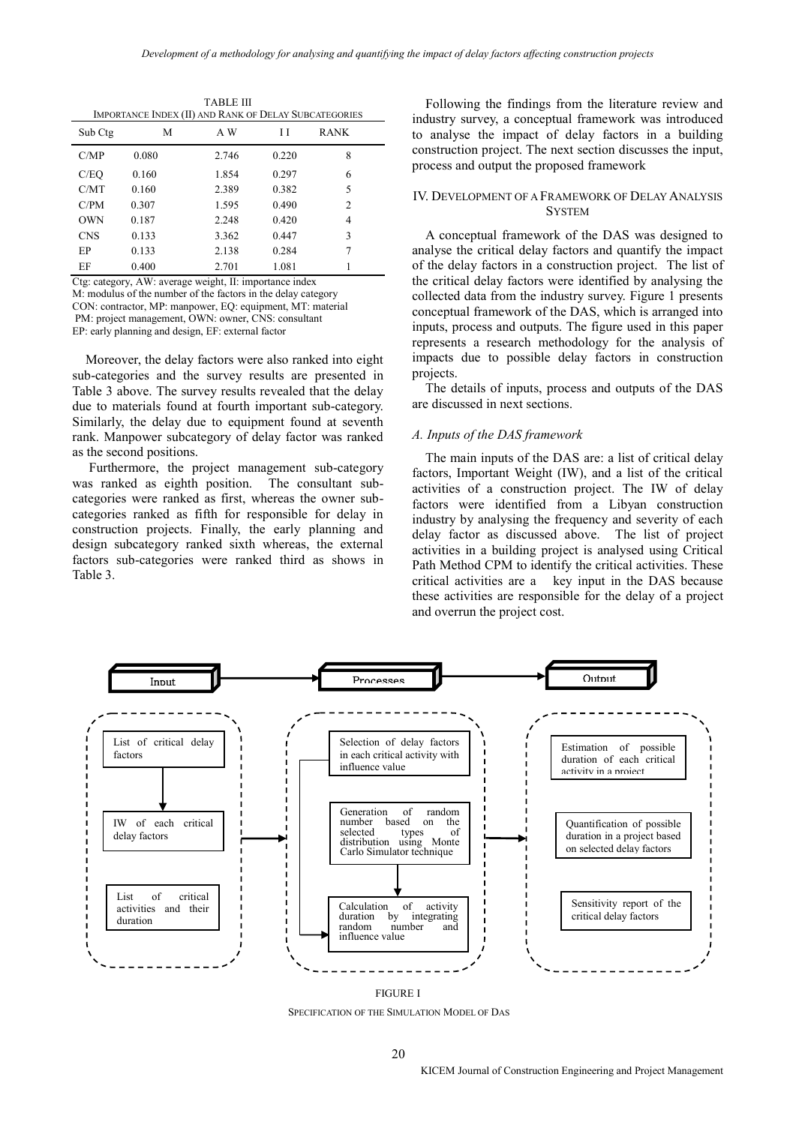| IMPORTANCE INDEX (II) AND RANK OF DELAY SUBCATEGORIES |       |       |       |             |  |  |  |  |  |
|-------------------------------------------------------|-------|-------|-------|-------------|--|--|--|--|--|
| Sub Ctg                                               | M     | A W   | Η     | <b>RANK</b> |  |  |  |  |  |
| C/MP                                                  | 0.080 | 2.746 | 0.220 | 8           |  |  |  |  |  |
| C/EQ                                                  | 0.160 | 1.854 | 0.297 | 6           |  |  |  |  |  |
| C/MT                                                  | 0.160 | 2.389 | 0.382 | 5           |  |  |  |  |  |
| C/PM                                                  | 0.307 | 1.595 | 0.490 | 2           |  |  |  |  |  |
| <b>OWN</b>                                            | 0.187 | 2.248 | 0.420 | 4           |  |  |  |  |  |
| <b>CNS</b>                                            | 0.133 | 3.362 | 0.447 | 3           |  |  |  |  |  |
| EP                                                    | 0.133 | 2.138 | 0.284 | 7           |  |  |  |  |  |
| EF                                                    | 0.400 | 2.701 | 1.081 |             |  |  |  |  |  |

TABLE III

Ctg: category, AW: average weight, II: importance index M: modulus of the number of the factors in the delay category CON: contractor, MP: manpower, EQ: equipment, MT: material PM: project management, OWN: owner, CNS: consultant EP: early planning and design, EF: external factor

Moreover, the delay factors were also ranked into eight sub-categories and the survey results are presented in Table 3 above. The survey results revealed that the delay due to materials found at fourth important sub-category. Similarly, the delay due to equipment found at seventh rank. Manpower subcategory of delay factor was ranked as the second positions.

Furthermore, the project management sub-category was ranked as eighth position. The consultant subcategories were ranked as first, whereas the owner subcategories ranked as fifth for responsible for delay in construction projects. Finally, the early planning and design subcategory ranked sixth whereas, the external factors sub-categories were ranked third as shows in Table 3.

Following the findings from the literature review and industry survey, a conceptual framework was introduced to analyse the impact of delay factors in a building construction project. The next section discusses the input, process and output the proposed framework

## IV. DEVELOPMENT OF A FRAMEWORK OF DELAY ANALYSIS **SYSTEM**

A conceptual framework of the DAS was designed to analyse the critical delay factors and quantify the impact of the delay factors in a construction project. The list of the critical delay factors were identified by analysing the collected data from the industry survey. Figure 1 presents conceptual framework of the DAS, which is arranged into inputs, process and outputs. The figure used in this paper represents a research methodology for the analysis of impacts due to possible delay factors in construction projects.

The details of inputs, process and outputs of the DAS are discussed in next sections.

#### *A. Inputs of the DAS framework*

The main inputs of the DAS are: a list of critical delay factors, Important Weight (IW), and a list of the critical activities of a construction project. The IW of delay factors were identified from a Libyan construction industry by analysing the frequency and severity of each delay factor as discussed above. The list of project activities in a building project is analysed using Critical Path Method CPM to identify the critical activities. These critical activities are a key input in the DAS because these activities are responsible for the delay of a project and overrun the project cost.



FIGURE I SPECIFICATION OF THE SIMULATION MODEL OF DAS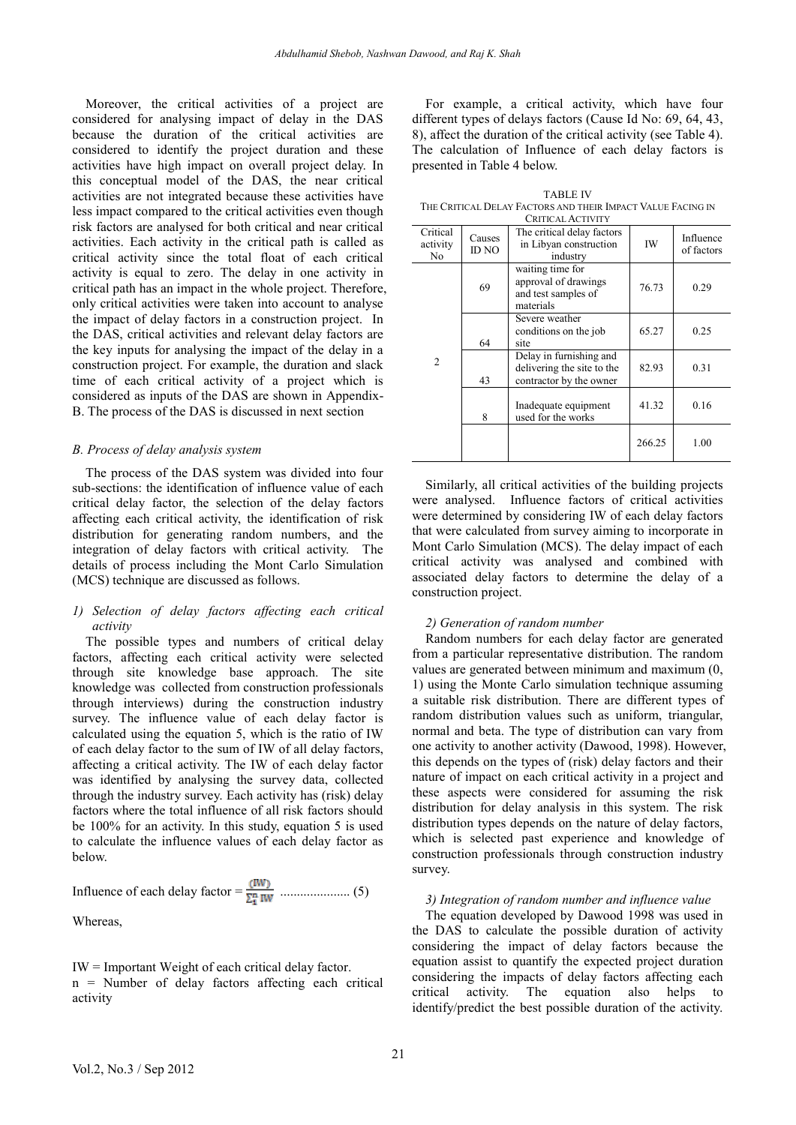Moreover, the critical activities of a project are considered for analysing impact of delay in the DAS because the duration of the critical activities are considered to identify the project duration and these activities have high impact on overall project delay. In this conceptual model of the DAS, the near critical activities are not integrated because these activities have less impact compared to the critical activities even though risk factors are analysed for both critical and near critical activities. Each activity in the critical path is called as critical activity since the total float of each critical activity is equal to zero. The delay in one activity in critical path has an impact in the whole project. Therefore, only critical activities were taken into account to analyse the impact of delay factors in a construction project. In the DAS, critical activities and relevant delay factors are the key inputs for analysing the impact of the delay in a construction project. For example, the duration and slack time of each critical activity of a project which is considered as inputs of the DAS are shown in Appendix-B. The process of the DAS is discussed in next section

## *B. Process of delay analysis system*

The process of the DAS system was divided into four sub-sections: the identification of influence value of each critical delay factor, the selection of the delay factors affecting each critical activity, the identification of risk distribution for generating random numbers, and the integration of delay factors with critical activity. The details of process including the Mont Carlo Simulation (MCS) technique are discussed as follows.

## *1) Selection of delay factors affecting each critical activity*

The possible types and numbers of critical delay factors, affecting each critical activity were selected through site knowledge base approach. The site knowledge was collected from construction professionals through interviews) during the construction industry survey. The influence value of each delay factor is calculated using the equation 5, which is the ratio of IW of each delay factor to the sum of IW of all delay factors, affecting a critical activity. The IW of each delay factor was identified by analysing the survey data, collected through the industry survey. Each activity has (risk) delay factors where the total influence of all risk factors should be 100% for an activity. In this study, equation 5 is used to calculate the influence values of each delay factor as below.

Influence of each delay factor = ..................... (5)

Whereas,

IW = Important Weight of each critical delay factor. n = Number of delay factors affecting each critical activity

For example, a critical activity, which have four different types of delays factors (Cause Id No: 69, 64, 43, 8), affect the duration of the critical activity (see Table 4). The calculation of Influence of each delay factors is presented in Table 4 below.

TABLE IV THE CRITICAL DELAY FACTORS AND THEIR IMPACT VALUE FACING IN

| <b>CRITICAL ACTIVITY</b>   |                 |                                                                                  |        |                         |  |  |  |
|----------------------------|-----------------|----------------------------------------------------------------------------------|--------|-------------------------|--|--|--|
| Critical<br>activity<br>No | Causes<br>ID NO | The critical delay factors<br>in Libyan construction<br>industry                 | IW     | Influence<br>of factors |  |  |  |
| 2                          | 69              | waiting time for<br>approval of drawings<br>and test samples of<br>materials     | 76.73  | 0.29                    |  |  |  |
|                            | 64              | Severe weather<br>conditions on the job<br>site                                  | 65.27  | 0.25                    |  |  |  |
|                            | 43              | Delay in furnishing and<br>delivering the site to the<br>contractor by the owner | 82.93  | 0.31                    |  |  |  |
|                            | 8               | Inadequate equipment<br>used for the works                                       | 41.32  | 0.16                    |  |  |  |
|                            |                 |                                                                                  | 266.25 | 1.00                    |  |  |  |

Similarly, all critical activities of the building projects were analysed. Influence factors of critical activities were determined by considering IW of each delay factors that were calculated from survey aiming to incorporate in Mont Carlo Simulation (MCS). The delay impact of each critical activity was analysed and combined with associated delay factors to determine the delay of a construction project.

#### *2) Generation of random number*

Random numbers for each delay factor are generated from a particular representative distribution. The random values are generated between minimum and maximum (0, 1) using the Monte Carlo simulation technique assuming a suitable risk distribution. There are different types of random distribution values such as uniform, triangular, normal and beta. The type of distribution can vary from one activity to another activity (Dawood, 1998). However, this depends on the types of (risk) delay factors and their nature of impact on each critical activity in a project and these aspects were considered for assuming the risk distribution for delay analysis in this system. The risk distribution types depends on the nature of delay factors, which is selected past experience and knowledge of construction professionals through construction industry survey.

## *3) Integration of random number and influence value*

The equation developed by Dawood 1998 was used in the DAS to calculate the possible duration of activity considering the impact of delay factors because the equation assist to quantify the expected project duration considering the impacts of delay factors affecting each critical activity. The equation also helps to identify/predict the best possible duration of the activity.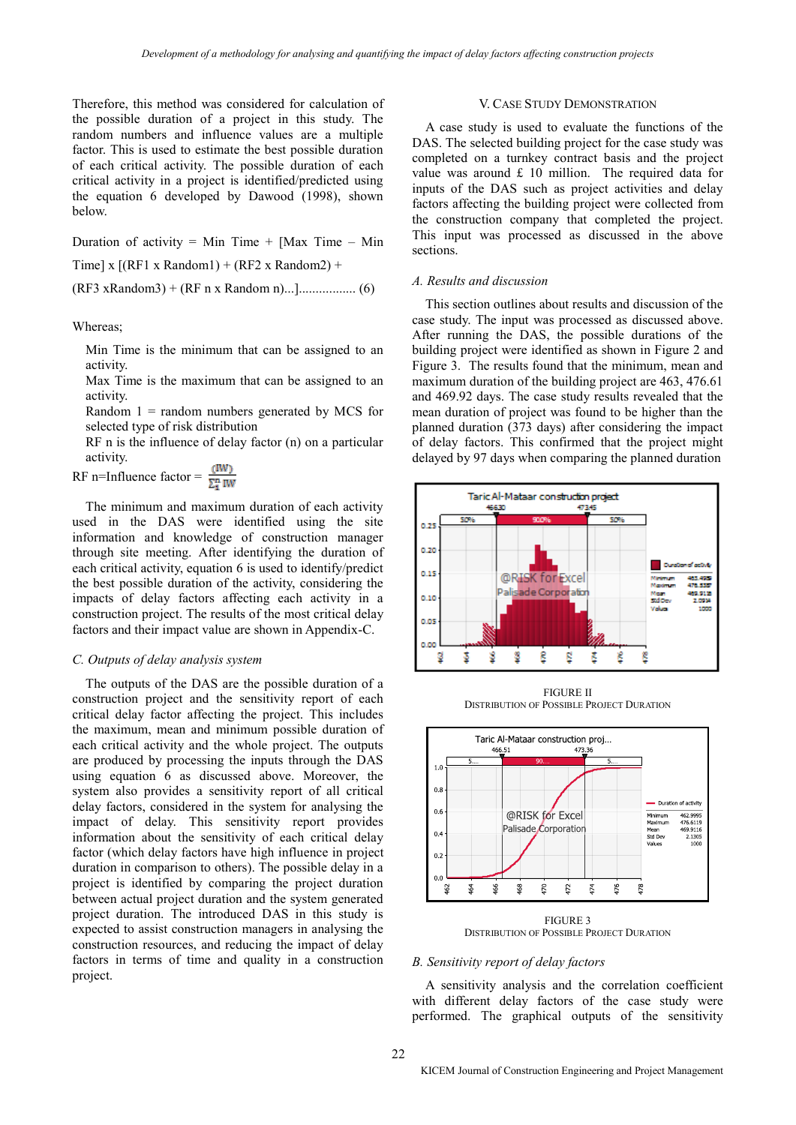Therefore, this method was considered for calculation of the possible duration of a project in this study. The random numbers and influence values are a multiple factor. This is used to estimate the best possible duration of each critical activity. The possible duration of each critical activity in a project is identified/predicted using the equation 6 developed by Dawood (1998), shown below.

Duration of activity = Min Time + [Max Time – Min

Time] x  $[(RF1 x Random1) + (RF2 x Random2) +$ 

(RF3 xRandom3) + (RF n x Random n)...]................. (6)

Whereas;

Min Time is the minimum that can be assigned to an activity.

Max Time is the maximum that can be assigned to an activity.

Random  $1 =$  random numbers generated by MCS for selected type of risk distribution

RF n is the influence of delay factor (n) on a particular activity.

RF n=Influence factor =  $\frac{(IW)}{\sum_{i=1}^{n}IW}$ 

The minimum and maximum duration of each activity used in the DAS were identified using the site information and knowledge of construction manager through site meeting. After identifying the duration of each critical activity, equation 6 is used to identify/predict the best possible duration of the activity, considering the impacts of delay factors affecting each activity in a construction project. The results of the most critical delay factors and their impact value are shown in Appendix-C.

#### *C. Outputs of delay analysis system*

The outputs of the DAS are the possible duration of a construction project and the sensitivity report of each critical delay factor affecting the project. This includes the maximum, mean and minimum possible duration of each critical activity and the whole project. The outputs are produced by processing the inputs through the DAS using equation 6 as discussed above. Moreover, the system also provides a sensitivity report of all critical delay factors, considered in the system for analysing the impact of delay. This sensitivity report provides information about the sensitivity of each critical delay factor (which delay factors have high influence in project duration in comparison to others). The possible delay in a project is identified by comparing the project duration between actual project duration and the system generated project duration. The introduced DAS in this study is expected to assist construction managers in analysing the construction resources, and reducing the impact of delay factors in terms of time and quality in a construction project.

## V. CASE STUDY DEMONSTRATION

A case study is used to evaluate the functions of the DAS. The selected building project for the case study was completed on a turnkey contract basis and the project value was around  $£ 10$  million. The required data for inputs of the DAS such as project activities and delay factors affecting the building project were collected from the construction company that completed the project. This input was processed as discussed in the above sections.

## *A. Results and discussion*

This section outlines about results and discussion of the case study. The input was processed as discussed above. After running the DAS, the possible durations of the building project were identified as shown in Figure 2 and Figure 3. The results found that the minimum, mean and maximum duration of the building project are 463, 476.61 and 469.92 days. The case study results revealed that the mean duration of project was found to be higher than the planned duration (373 days) after considering the impact of delay factors. This confirmed that the project might delayed by 97 days when comparing the planned duration



FIGURE II DISTRIBUTION OF POSSIBLE PROJECT DURATION



FIGURE 3 DISTRIBUTION OF POSSIBLE PROJECT DURATION

#### *B. Sensitivity report of delay factors*

A sensitivity analysis and the correlation coefficient with different delay factors of the case study were performed. The graphical outputs of the sensitivity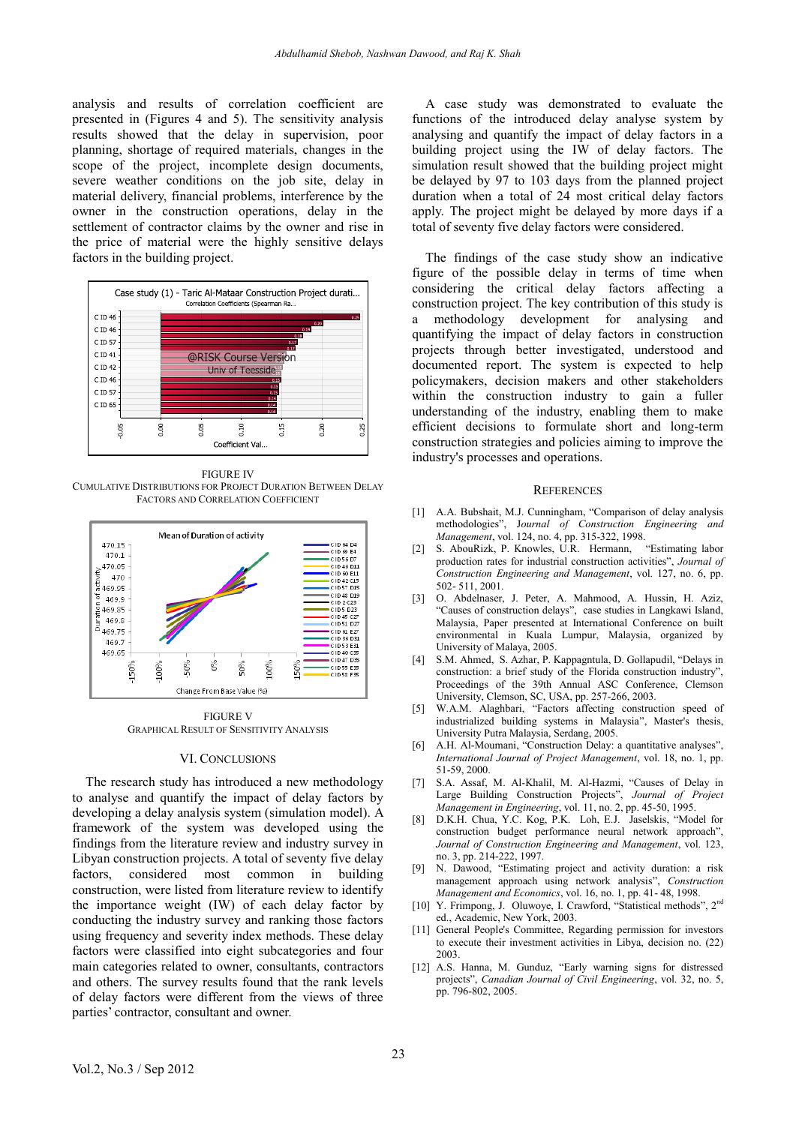analysis and results of correlation coefficient are presented in (Figures 4 and 5). The sensitivity analysis results showed that the delay in supervision, poor planning, shortage of required materials, changes in the scope of the project, incomplete design documents, severe weather conditions on the job site, delay in material delivery, financial problems, interference by the owner in the construction operations, delay in the settlement of contractor claims by the owner and rise in the price of material were the highly sensitive delays factors in the building project.



FIGURE IV CUMULATIVE DISTRIBUTIONS FOR PROJECT DURATION BETWEEN DELAY FACTORS AND CORRELATION COEFFICIENT



FIGURE V GRAPHICAL RESULT OF SENSITIVITY ANALYSIS

#### VI. CONCLUSIONS

The research study has introduced a new methodology to analyse and quantify the impact of delay factors by developing a delay analysis system (simulation model). A framework of the system was developed using the findings from the literature review and industry survey in Libyan construction projects. A total of seventy five delay factors, considered most common in building construction, were listed from literature review to identify the importance weight (IW) of each delay factor by conducting the industry survey and ranking those factors using frequency and severity index methods. These delay factors were classified into eight subcategories and four main categories related to owner, consultants, contractors and others. The survey results found that the rank levels of delay factors were different from the views of three parties' contractor, consultant and owner.

A case study was demonstrated to evaluate the functions of the introduced delay analyse system by analysing and quantify the impact of delay factors in a building project using the IW of delay factors. The simulation result showed that the building project might be delayed by 97 to 103 days from the planned project duration when a total of 24 most critical delay factors apply. The project might be delayed by more days if a total of seventy five delay factors were considered.

The findings of the case study show an indicative figure of the possible delay in terms of time when considering the critical delay factors affecting a construction project. The key contribution of this study is a methodology development for analysing and quantifying the impact of delay factors in construction projects through better investigated, understood and documented report. The system is expected to help policymakers, decision makers and other stakeholders within the construction industry to gain a fuller understanding of the industry, enabling them to make efficient decisions to formulate short and long-term construction strategies and policies aiming to improve the industry's processes and operations.

#### **REFERENCES**

- [1] A.A. Bubshait, M.J. Cunningham, "Comparison of delay analysis methodologies", J*ournal of Construction Engineering and Management*, vol. 124, no. 4, pp. 315-322, 1998.
- [2] S. AbouRizk, P. Knowles, U.R. Hermann, production rates for industrial construction activities", *Journal of Construction Engineering and Management*, vol. 127, no. 6, pp. 502- 511, 2001.
- [3] O. Abdelnaser, J. Peter, A. Mahmood, A. Hussin, H. Aziz, "Causes of construction delays", case studies in Langkawi Island, Malaysia, Paper presented at International Conference on built environmental in Kuala Lumpur, Malaysia, organized by University of Malaya, 2005.
- [4] S.M. Ahmed, S. Azhar, P. Kappagntula, D. Gollapudil, "Delays in construction: a brief study of the Florida construction industry", Proceedings of the 39th Annual ASC Conference, Clemson University, Clemson, SC, USA, pp. 257-266, 2003.
- [5] W.A.M. Alaghbari, "Factors affecting construction speed of industrialized building systems in Malaysia", Master's thesis, University Putra Malaysia, Serdang, 2005.
- [6] A.H. Al-Moumani, "Construction Delay: a quantitative analyses", *International Journal of Project Management*, vol. 18, no. 1, pp. 51-59, 2000.
- [7] S.A. Assaf, M. Al-Khalil, M. Al-Hazmi, "Causes of Delay in Large Building Construction Projects", *Journal of Project Management in Engineering*, vol. 11, no. 2, pp. 45-50, 1995.
- [8] D.K.H. Chua, Y.C. Kog, P.K. Loh, E.J. Jaselskis, "Model for construction budget performance neural network approach", *Journal of Construction Engineering and Management*, vol. 123, no. 3, pp. 214-222, 1997.
- [9] N. Dawood, "Estimating project and activity duration: a risk management approach using network analysis", *Construction Management and Economics*, vol. 16, no. 1, pp. 41- 48, 1998.
- [10] Y. Frimpong, J. Oluwoye, I. Crawford, "Statistical methods", 2<sup>nd</sup> ed., Academic, New York, 2003.
- [11] General People's Committee, Regarding permission for investors to execute their investment activities in Libya, decision no. (22) 2003.
- [12] A.S. Hanna, M. Gunduz, "Early warning signs for distressed projects", *Canadian Journal of Civil Engineering*, vol. 32, no. 5, pp. 796-802, 2005.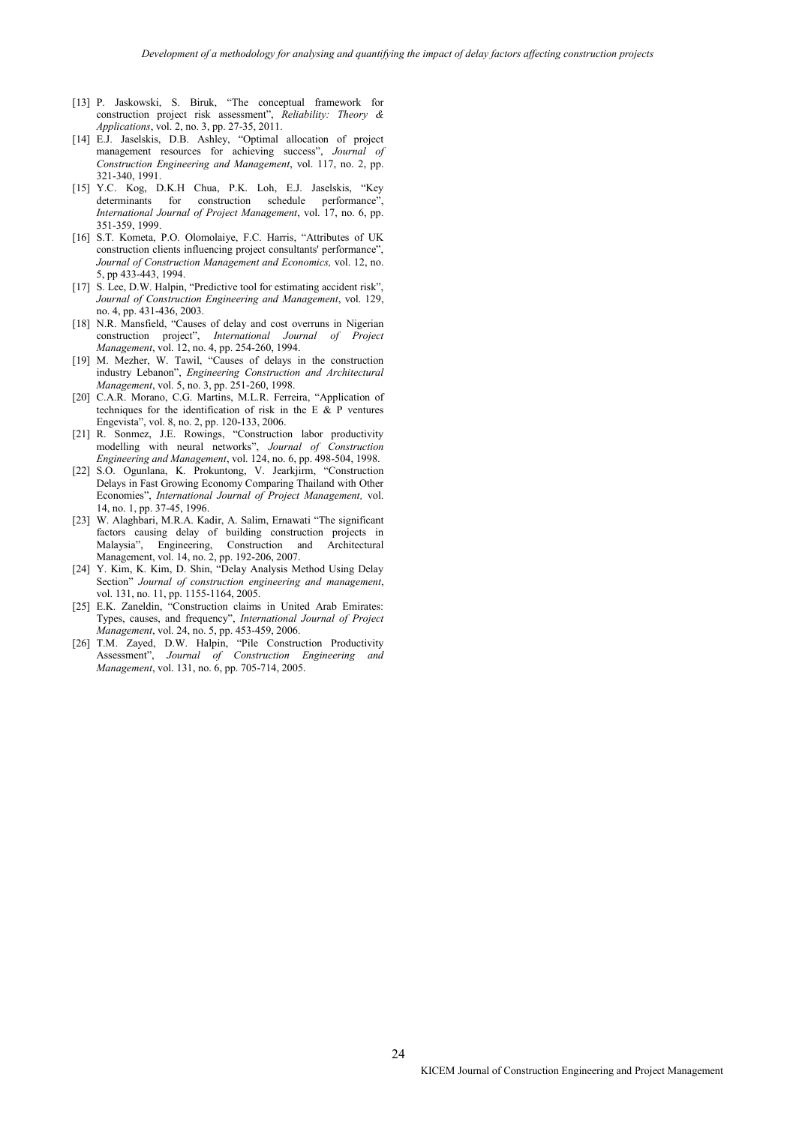- [13] P. Jaskowski, S. Biruk, "The conceptual framework for construction project risk assessment", *Reliability: Theory & Applications*, vol. 2, no. 3, pp. 27-35, 2011.
- [14] E.J. Jaselskis, D.B. Ashley, "Optimal allocation of project management resources for achieving success", *Journal of Construction Engineering and Management*, vol. 117, no. 2, pp. 321-340, 1991.
- [15] Y.C. Kog, D.K.H Chua, P.K. Loh, E.J. Jaselskis, "Key determinants for construction schedule performance", *International Journal of Project Management*, vol. 17, no. 6, pp. 351-359, 1999.
- [16] S.T. Kometa, P.O. Olomolaiye, F.C. Harris, "Attributes of UK construction clients influencing project consultants' performance", *Journal of Construction Management and Economics,* vol. 12, no. 5, pp 433-443, 1994.
- [17] S. Lee, D.W. Halpin, "Predictive tool for estimating accident risk", *Journal of Construction Engineering and Management*, vol. 129, no. 4, pp. 431-436, 2003.
- [18] N.R. Mansfield, "Causes of delay and cost overruns in Nigerian construction project", *International Journal of Project Management*, vol. 12, no. 4, pp. 254-260, 1994.
- [19] M. Mezher, W. Tawil, "Causes of delays in the construction industry Lebanon", *Engineering Construction and Architectural Management*, vol. 5, no. 3, pp. 251-260, 1998.
- [20] C.A.R. Morano, C.G. Martins, M.L.R. Ferreira, "Application of techniques for the identification of risk in the E & P ventures Engevista", vol. 8, no. 2, pp. 120-133, 2006.
- [21] R. Sonmez, J.E. Rowings, "Construction labor productivity modelling with neural networks", *Journal of Construction Engineering and Management*, vol. 124, no. 6, pp. 498-504, 1998.
- [22] S.O. Ogunlana, K. Prokuntong, V. Jearkjirm, "Construction Delays in Fast Growing Economy Comparing Thailand with Other Economies", *International Journal of Project Management,* vol. 14, no. 1, pp. 37-45, 1996.
- [23] W. Alaghbari, M.R.A. Kadir, A. Salim, Ernawati "The significant factors causing delay of building construction projects in Malaysia", Engineering, Construction and Architectural Management, vol. 14, no. 2, pp. 192-206, 2007.
- [24] Y. Kim, K. Kim, D. Shin, "Delay Analysis Method Using Delay Section" *Journal of construction engineering and management*, vol. 131, no. 11, pp. 1155-1164, 2005.
- [25] E.K. Zaneldin, "Construction claims in United Arab Emirates: Types, causes, and frequency", *International Journal of Project Management*, vol. 24, no. 5, pp. 453-459, 2006.
- [26] T.M. Zayed, D.W. Halpin, "Pile Construction Productivity Assessment", *Journal of Construction Engineering and Management*, vol. 131, no. 6, pp. 705-714, 2005.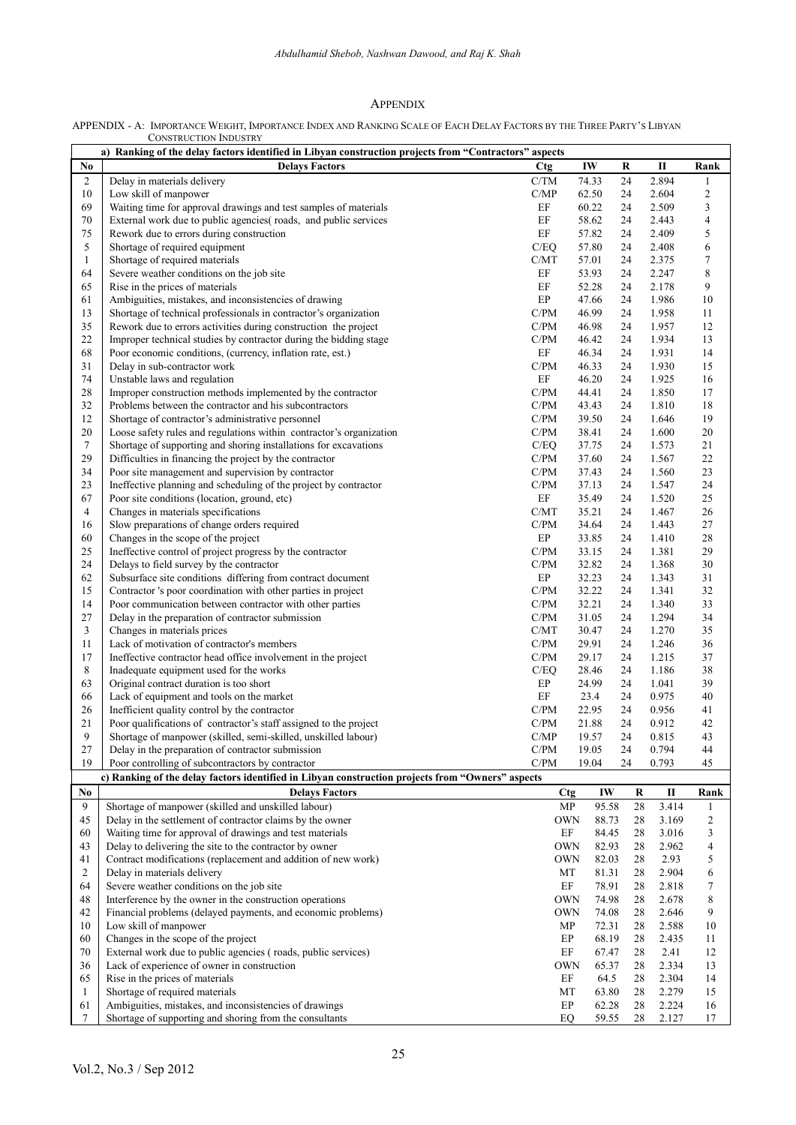# APPENDIX

| APPENDIX - A: IMPORTANCE WEIGHT, IMPORTANCE INDEX AND RANKING SCALE OF EACH DELAY FACTORS BY THE THREE PARTY'S LIBYAN |
|-----------------------------------------------------------------------------------------------------------------------|
| <b>CONSTRUCTION INDUSTRY</b>                                                                                          |

|                | a) Ranking of the delay factors identified in Libyan construction projects from "Contractors" aspects                               |                                   |                  |             |          |                |                               |
|----------------|-------------------------------------------------------------------------------------------------------------------------------------|-----------------------------------|------------------|-------------|----------|----------------|-------------------------------|
| No             | <b>Delays Factors</b>                                                                                                               | <b>Ctg</b>                        | IW               |             | R        | П              | Rank                          |
| 2              | Delay in materials delivery                                                                                                         | C/TM                              | 74.33            |             | 24       | 2.894          | 1                             |
| 10             | Low skill of manpower                                                                                                               | C/MP                              | 62.50            |             | 24       | 2.604          | $\overline{\mathbf{c}}$       |
| 69             | Waiting time for approval drawings and test samples of materials<br>External work due to public agencies(roads, and public services | $\rm EF$<br>EF                    | 60.22<br>58.62   |             | 24       | 2.509          | 3                             |
| 70<br>75       | Rework due to errors during construction                                                                                            | $\rm EF$                          | 57.82            |             | 24<br>24 | 2.443<br>2.409 | $\overline{\mathcal{L}}$<br>5 |
| 5              | Shortage of required equipment                                                                                                      | C/EQ                              | 57.80            |             | 24       | 2.408          | 6                             |
| $\mathbf{1}$   | Shortage of required materials                                                                                                      | C/MT                              | 57.01            |             | 24       | 2.375          | 7                             |
| 64             | Severe weather conditions on the job site                                                                                           | EF                                | 53.93            |             | 24       | 2.247          | 8                             |
| 65             | Rise in the prices of materials                                                                                                     | $\rm EF$                          | 52.28            |             | 24       | 2.178          | 9                             |
| 61             | Ambiguities, mistakes, and inconsistencies of drawing                                                                               | EP                                | 47.66            |             | 24       | 1.986          | 10                            |
| 13             | Shortage of technical professionals in contractor's organization                                                                    | C/PM                              | 46.99            |             | 24       | 1.958          | 11                            |
| 35             | Rework due to errors activities during construction the project                                                                     | C/PM                              | 46.98            |             | 24       | 1.957          | 12                            |
| 22             | Improper technical studies by contractor during the bidding stage                                                                   | C/PM                              | 46.42            |             | 24       | 1.934          | 13                            |
| 68             | Poor economic conditions, (currency, inflation rate, est.)                                                                          | EF                                | 46.34            |             | 24       | 1.931          | 14                            |
| 31             | Delay in sub-contractor work                                                                                                        | C/PM                              | 46.33            |             | 24       | 1.930          | 15                            |
| 74             | Unstable laws and regulation                                                                                                        | EF                                | 46.20            |             | 24       | 1.925          | 16                            |
| 28<br>32       | Improper construction methods implemented by the contractor                                                                         | C/PM<br>C/PM                      | 44.41            |             | 24       | 1.850          | 17                            |
| 12             | Problems between the contractor and his subcontractors<br>Shortage of contractor's administrative personnel                         | C/PM                              | 43.43<br>39.50   |             | 24<br>24 | 1.810<br>1.646 | 18<br>19                      |
| 20             | Loose safety rules and regulations within contractor's organization                                                                 | $\mathbf{C}/\mathbf{P}\mathbf{M}$ | 38.41            |             | 24       | 1.600          | 20                            |
| $\tau$         | Shortage of supporting and shoring installations for excavations                                                                    | C/EQ                              | 37.75            |             | 24       | 1.573          | 21                            |
| 29             | Difficulties in financing the project by the contractor                                                                             | C/PM                              | 37.60            |             | 24       | 1.567          | 22                            |
| 34             | Poor site management and supervision by contractor                                                                                  | C/PM                              | 37.43            |             | 24       | 1.560          | 23                            |
| 23             | Ineffective planning and scheduling of the project by contractor                                                                    | C/PM                              | 37.13            |             | 24       | 1.547          | 24                            |
| 67             | Poor site conditions (location, ground, etc)                                                                                        | EF                                | 35.49            |             | 24       | 1.520          | 25                            |
| 4              | Changes in materials specifications                                                                                                 | C/MT                              | 35.21            |             | 24       | 1.467          | 26                            |
| 16             | Slow preparations of change orders required                                                                                         | C/PM                              | 34.64            |             | 24       | 1.443          | 27                            |
| 60             | Changes in the scope of the project                                                                                                 | EP                                | 33.85            |             | 24       | 1.410          | 28                            |
| 25             | Ineffective control of project progress by the contractor                                                                           | C/PM                              | 33.15            |             | 24       | 1.381          | 29                            |
| 24             | Delays to field survey by the contractor                                                                                            | C/PM                              | 32.82            |             | 24       | 1.368          | 30                            |
| 62             | Subsurface site conditions differing from contract document                                                                         | EP                                | 32.23            |             | 24       | 1.343          | 31                            |
| 15             | Contractor 's poor coordination with other parties in project                                                                       | $\mathbf{C}/\mathbf{P}\mathbf{M}$ | 32.22            |             | 24       | 1.341          | 32                            |
| 14             | Poor communication between contractor with other parties                                                                            | C/PM<br>C/PM                      | 32.21<br>31.05   |             | 24       | 1.340          | 33                            |
| 27<br>3        | Delay in the preparation of contractor submission<br>Changes in materials prices                                                    | C/MT                              | 30.47            |             | 24<br>24 | 1.294<br>1.270 | 34<br>35                      |
| 11             | Lack of motivation of contractor's members                                                                                          | C/PM                              | 29.91            |             | 24       | 1.246          | 36                            |
| 17             | Ineffective contractor head office involvement in the project                                                                       | $\mathbf{C}/\mathbf{P}\mathbf{M}$ | 29.17            |             | 24       | 1.215          | 37                            |
| 8              | Inadequate equipment used for the works                                                                                             | C/EQ                              | 28.46            |             | 24       | 1.186          | 38                            |
| 63             | Original contract duration is too short                                                                                             | EP                                | 24.99            |             | 24       | 1.041          | 39                            |
| 66             | Lack of equipment and tools on the market                                                                                           | EF                                | 23.4             |             | 24       | 0.975          | 40                            |
| 26             | Inefficient quality control by the contractor                                                                                       | C/PM                              | 22.95            |             | 24       | 0.956          | 41                            |
| 21             | Poor qualifications of contractor's staff assigned to the project                                                                   | C/PM                              | 21.88            |             | 24       | 0.912          | 42                            |
| 9              | Shortage of manpower (skilled, semi-skilled, unskilled labour)                                                                      | C/MP                              | 19.57            |             | 24       | 0.815          | 43                            |
| 27             | Delay in the preparation of contractor submission                                                                                   | C/PM                              | 19.05            |             | 24       | 0.794          | 44                            |
| 19             | Poor controlling of subcontractors by contractor                                                                                    | C/PM                              | 19.04            |             | 24       | 0.793          | 45                            |
|                | c) Ranking of the delay factors identified in Libyan construction projects from "Owners" aspects                                    |                                   |                  |             |          |                |                               |
| No<br>9        | <b>Delays Factors</b><br>Shortage of manpower (skilled and unskilled labour)                                                        |                                   | <b>Ctg</b><br>MP | IW<br>95.58 | R<br>28  | П<br>3.414     | Rank                          |
| 45             | Delay in the settlement of contractor claims by the owner                                                                           |                                   | OWN              | 88.73       | 28       | 3.169          | 1<br>2                        |
| 60             | Waiting time for approval of drawings and test materials                                                                            |                                   | EF               | 84.45       | 28       | 3.016          | 3                             |
| 43             | Delay to delivering the site to the contractor by owner                                                                             |                                   | <b>OWN</b>       | 82.93       | 28       | 2.962          | 4                             |
| 41             | Contract modifications (replacement and addition of new work)                                                                       |                                   | <b>OWN</b>       | 82.03       | 28       | 2.93           | 5                             |
| $\overline{c}$ | Delay in materials delivery                                                                                                         |                                   | МT               | 81.31       | 28       | 2.904          | 6                             |
| 64             | Severe weather conditions on the job site                                                                                           |                                   | EF               | 78.91       | 28       | 2.818          | 7                             |
| 48             | Interference by the owner in the construction operations                                                                            |                                   | <b>OWN</b>       | 74.98       | 28       | 2.678          | 8                             |
| 42             | Financial problems (delayed payments, and economic problems)                                                                        |                                   | OWN              | 74.08       | 28       | 2.646          | 9                             |
| 10             | Low skill of manpower                                                                                                               |                                   | MP               | 72.31       | 28       | 2.588          | 10                            |
| 60             | Changes in the scope of the project                                                                                                 |                                   | EP               | 68.19       | 28       | 2.435          | 11                            |
| 70             | External work due to public agencies (roads, public services)                                                                       |                                   | $\rm EF$         | 67.47       | 28       | 2.41           | 12                            |
| 36             | Lack of experience of owner in construction                                                                                         |                                   | OWN              | 65.37       | 28       | 2.334          | 13                            |
| 65             | Rise in the prices of materials                                                                                                     |                                   | EF               | 64.5        | 28       | 2.304          | 14                            |
| $\mathbf{1}$   | Shortage of required materials                                                                                                      |                                   | МT               | 63.80       | 28       | 2.279          | 15                            |
| 61<br>7        | Ambiguities, mistakes, and inconsistencies of drawings                                                                              |                                   | EP               | 62.28       | 28       | 2.224          | 16                            |
|                | Shortage of supporting and shoring from the consultants                                                                             |                                   | EQ               | 59.55       | 28       | 2.127          | 17                            |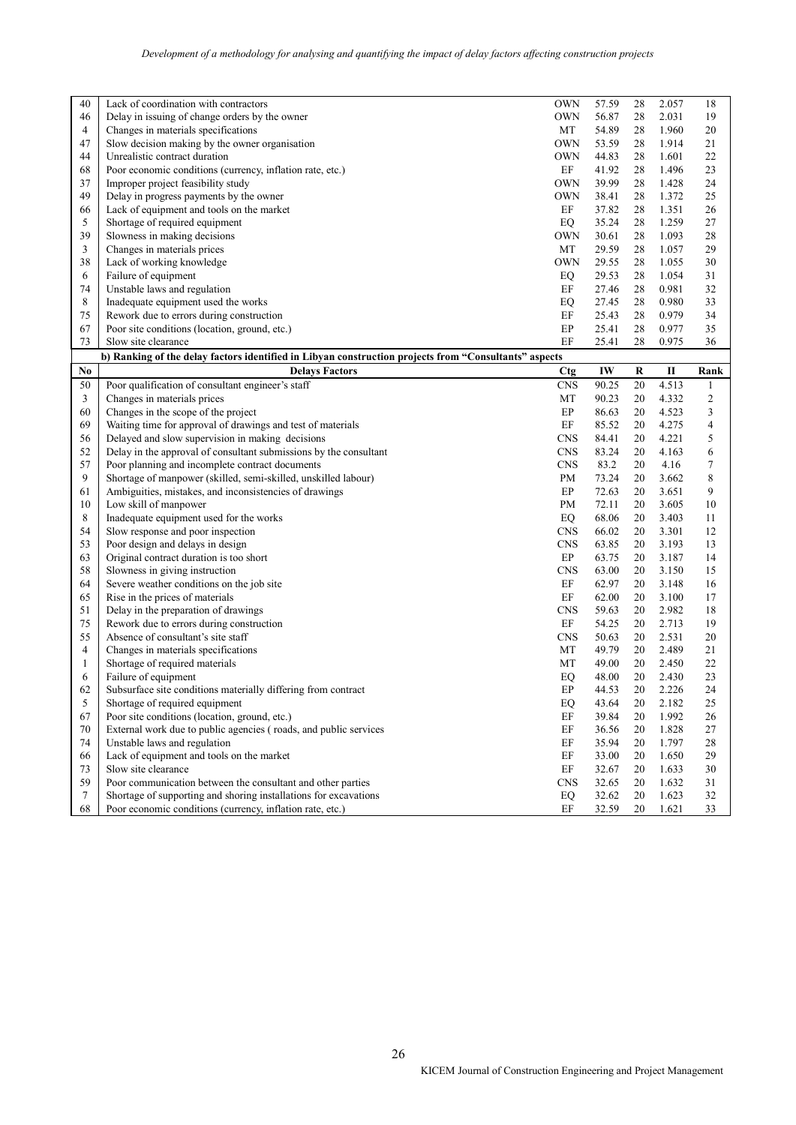| 40           | Lack of coordination with contractors                                                                 | <b>OWN</b> | 57.59 | 28 | 2.057        | 18           |
|--------------|-------------------------------------------------------------------------------------------------------|------------|-------|----|--------------|--------------|
| 46           | Delay in issuing of change orders by the owner                                                        | <b>OWN</b> | 56.87 | 28 | 2.031        | 19           |
| 4            | Changes in materials specifications                                                                   | MT         | 54.89 | 28 | 1.960        | 20           |
| 47           | Slow decision making by the owner organisation                                                        | <b>OWN</b> | 53.59 | 28 | 1.914        | 21           |
| 44           | Unrealistic contract duration                                                                         | <b>OWN</b> | 44.83 | 28 | 1.601        | 22           |
| 68           | Poor economic conditions (currency, inflation rate, etc.)                                             | EF         | 41.92 | 28 | 1.496        | 23           |
| 37           | Improper project feasibility study                                                                    | <b>OWN</b> | 39.99 | 28 | 1.428        | 24           |
| 49           | Delay in progress payments by the owner                                                               | <b>OWN</b> | 38.41 | 28 | 1.372        | 25           |
| 66           | Lack of equipment and tools on the market                                                             | EF         | 37.82 | 28 | 1.351        | 26           |
| 5            | Shortage of required equipment                                                                        | EQ         | 35.24 | 28 | 1.259        | 27           |
| 39           | Slowness in making decisions                                                                          | <b>OWN</b> | 30.61 | 28 | 1.093        | 28           |
| 3            | Changes in materials prices                                                                           | MT         | 29.59 | 28 | 1.057        | 29           |
| 38           | Lack of working knowledge                                                                             | <b>OWN</b> | 29.55 | 28 | 1.055        | 30           |
| 6            | Failure of equipment                                                                                  | EQ         | 29.53 | 28 | 1.054        | 31           |
| 74           | Unstable laws and regulation                                                                          | EF         | 27.46 | 28 | 0.981        | 32           |
| 8            | Inadequate equipment used the works                                                                   | EQ         | 27.45 | 28 | 0.980        | 33           |
| 75           | Rework due to errors during construction                                                              | EF         | 25.43 | 28 | 0.979        | 34           |
| 67           | Poor site conditions (location, ground, etc.)                                                         | EP         | 25.41 | 28 | 0.977        | 35           |
| 73           | Slow site clearance                                                                                   | EF         | 25.41 | 28 | 0.975        | 36           |
|              | b) Ranking of the delay factors identified in Libyan construction projects from "Consultants" aspects |            |       |    |              |              |
| No           | <b>Delays Factors</b>                                                                                 | <b>Ctg</b> | IW    | R  | $\mathbf{I}$ | Rank         |
| 50           | Poor qualification of consultant engineer's staff                                                     | <b>CNS</b> | 90.25 | 20 | 4.513        | $\mathbf{1}$ |
| 3            | Changes in materials prices                                                                           | MT         | 90.23 | 20 | 4.332        | 2            |
| 60           | Changes in the scope of the project                                                                   | EP         | 86.63 | 20 | 4.523        | 3            |
| 69           | Waiting time for approval of drawings and test of materials                                           | EF         | 85.52 | 20 | 4.275        | 4            |
| 56           | Delayed and slow supervision in making decisions                                                      | <b>CNS</b> | 84.41 | 20 | 4.221        | 5            |
| 52           | Delay in the approval of consultant submissions by the consultant                                     | <b>CNS</b> | 83.24 | 20 | 4.163        | 6            |
| 57           | Poor planning and incomplete contract documents                                                       | <b>CNS</b> | 83.2  | 20 | 4.16         | 7            |
| 9            | Shortage of manpower (skilled, semi-skilled, unskilled labour)                                        | PM         | 73.24 | 20 | 3.662        | 8            |
| 61           | Ambiguities, mistakes, and inconsistencies of drawings                                                | $\rm EP$   | 72.63 | 20 | 3.651        | 9            |
| 10           | Low skill of manpower                                                                                 | PM         | 72.11 | 20 | 3.605        | 10           |
| 8            | Inadequate equipment used for the works                                                               | EQ         | 68.06 | 20 | 3.403        | 11           |
| 54           | Slow response and poor inspection                                                                     | <b>CNS</b> | 66.02 | 20 | 3.301        | 12           |
| 53           | Poor design and delays in design                                                                      | <b>CNS</b> | 63.85 | 20 | 3.193        | 13           |
| 63           | Original contract duration is too short                                                               | $\rm EP$   | 63.75 | 20 | 3.187        | 14           |
| 58           | Slowness in giving instruction                                                                        | <b>CNS</b> | 63.00 | 20 | 3.150        | 15           |
| 64           | Severe weather conditions on the job site                                                             | EF         | 62.97 | 20 | 3.148        | 16           |
| 65           | Rise in the prices of materials                                                                       | EF         | 62.00 | 20 | 3.100        | 17           |
| 51           | Delay in the preparation of drawings                                                                  | <b>CNS</b> | 59.63 | 20 | 2.982        | 18           |
| 75           | Rework due to errors during construction                                                              | $\rm EF$   | 54.25 | 20 | 2.713        | 19           |
| 55           | Absence of consultant's site staff                                                                    | CNS        | 50.63 | 20 | 2.531        | 20           |
| 4            | Changes in materials specifications                                                                   | MT         | 49.79 | 20 | 2.489        | 21           |
| $\mathbf{1}$ | Shortage of required materials                                                                        | MT         | 49.00 | 20 | 2.450        | 22           |
| 6            | Failure of equipment                                                                                  | EQ         | 48.00 | 20 | 2.430        | 23           |
| 62           | Subsurface site conditions materially differing from contract                                         | EP         | 44.53 | 20 | 2.226        | 24           |
| 5            | Shortage of required equipment                                                                        | EQ         | 43.64 | 20 | 2.182        | 25           |
| 67           | Poor site conditions (location, ground, etc.)                                                         | EF         | 39.84 | 20 | 1.992        | 26           |
| 70           | External work due to public agencies (roads, and public services                                      | EF         | 36.56 | 20 | 1.828        | 27           |
| 74           | Unstable laws and regulation                                                                          | EF         | 35.94 | 20 | 1.797        | 28           |
| 66           | Lack of equipment and tools on the market                                                             | EF         | 33.00 | 20 | 1.650        | 29           |
| 73           | Slow site clearance                                                                                   | EF         | 32.67 | 20 | 1.633        | 30           |
| 59           | Poor communication between the consultant and other parties                                           | <b>CNS</b> | 32.65 | 20 | 1.632        | 31           |
| 7            | Shortage of supporting and shoring installations for excavations                                      | EQ         | 32.62 | 20 | 1.623        | 32           |
| 68           | Poor economic conditions (currency, inflation rate, etc.)                                             | EF         | 32.59 | 20 | 1.621        | 33           |
|              |                                                                                                       |            |       |    |              |              |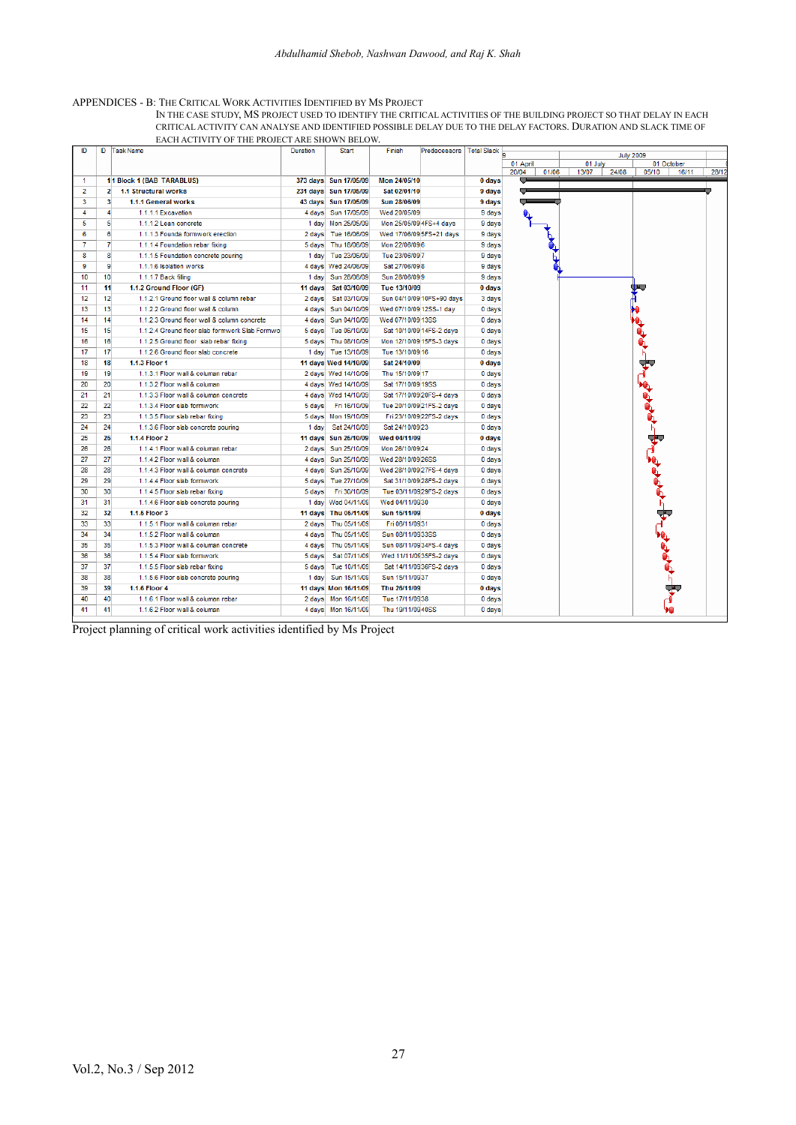#### APPENDICES - B: THE CRITICAL WORK ACTIVITIES IDENTIFIED BY MS PROJECT

IN THE CASE STUDY, MS PROJECT USED TO IDENTIFY THE CRITICAL ACTIVITIES OF THE BUILDING PROJECT SO THAT DELAY IN EACH CRITICAL ACTIVITY CAN ANALYSE AND IDENTIFIED POSSIBLE DELAY DUE TO THE DELAY FACTORS. DURATION AND SLACK TIME OF EACH ACTIVITY OF THE PROJECT ARE SHOWN BELOW.

| <b>July 2009</b><br>01 October<br>05/10<br>28/12<br>16/11 |
|-----------------------------------------------------------|
|                                                           |
|                                                           |
|                                                           |
|                                                           |
|                                                           |
|                                                           |
|                                                           |
|                                                           |
|                                                           |
|                                                           |
|                                                           |
|                                                           |
| V,                                                        |
|                                                           |
|                                                           |
|                                                           |
|                                                           |
|                                                           |
|                                                           |
| फ                                                         |
|                                                           |
|                                                           |
| بمهوم                                                     |
|                                                           |
|                                                           |
|                                                           |
|                                                           |
|                                                           |
|                                                           |
|                                                           |
|                                                           |
|                                                           |
| ┑┪                                                        |
|                                                           |
|                                                           |
|                                                           |
|                                                           |
| $\neg$ PPPP                                               |
|                                                           |
|                                                           |
|                                                           |
|                                                           |
|                                                           |
|                                                           |

Project planning of critical work activities identified by Ms Project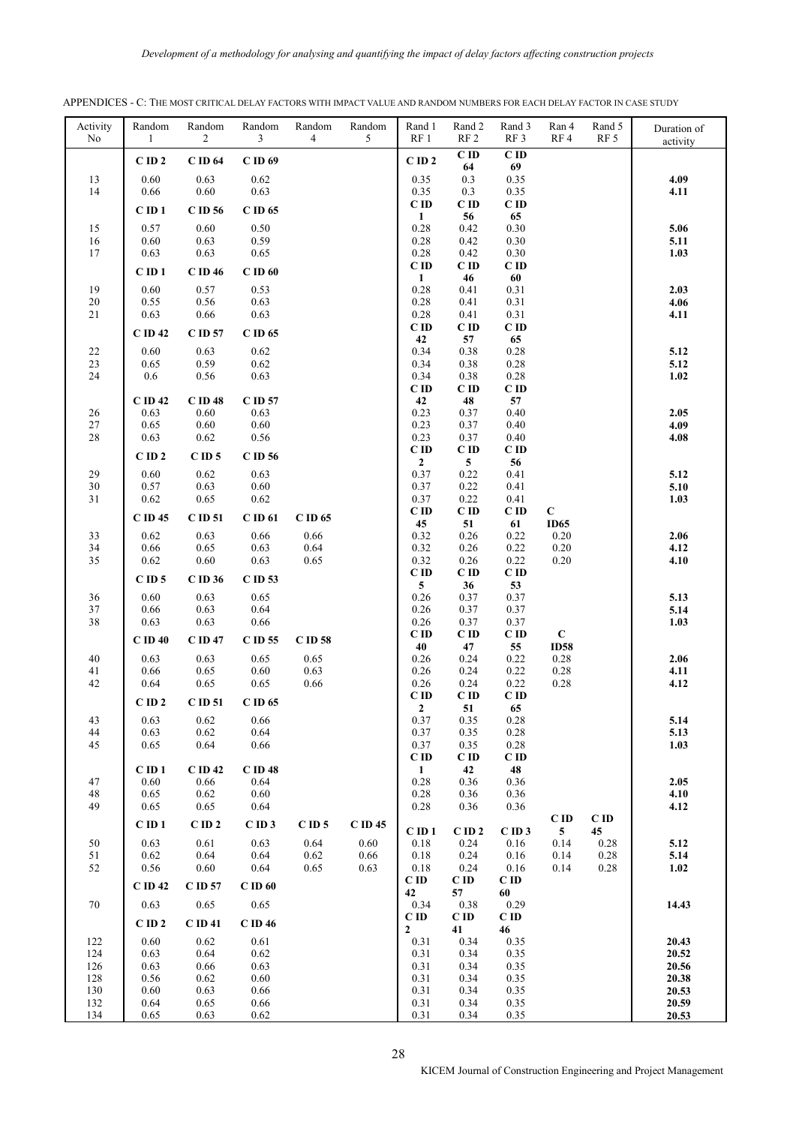| Activity<br>No | Random<br>1        | Random<br>2     | Random<br>3      | Random<br>4  | Random<br>5 | Rand 1<br>RF1        | Rand 2<br>RF <sub>2</sub> | Rand 3<br>RF <sub>3</sub> | Ran 4<br>RF4     | Rand 5<br>RF <sub>5</sub> | Duration of<br>activity |
|----------------|--------------------|-----------------|------------------|--------------|-------------|----------------------|---------------------------|---------------------------|------------------|---------------------------|-------------------------|
|                | $C$ ID $2$         | $\rm C$ ID 64   | $C$ ID 69        |              |             | $C$ ID $2$           | C ID                      | $C$ ID                    |                  |                           |                         |
| 13             | 0.60               | 0.63            | 0.62             |              |             | 0.35                 | 64<br>0.3                 | 69<br>0.35                |                  |                           | 4.09                    |
| 14             | 0.66               | $0.60\,$        | 0.63             |              |             | 0.35                 | 0.3                       | 0.35                      |                  |                           | 4.11                    |
|                | $C$ ID $1$         | C ID 56         | $C$ ID 65        |              |             | $C$ ID               | C ID                      | $C$ ID                    |                  |                           |                         |
| 15             | 0.57               | 0.60            | 0.50             |              |             | 1<br>0.28            | 56<br>0.42                | 65<br>0.30                |                  |                           | 5.06                    |
| 16             | 0.60               | 0.63            | 0.59             |              |             | 0.28                 | 0.42                      | 0.30                      |                  |                           | 5.11                    |
| 17             | 0.63               | 0.63            | 0.65             |              |             | 0.28                 | 0.42                      | 0.30                      |                  |                           | 1.03                    |
|                | $C$ ID $1$         | C ID 46         | $C$ ID $60$      |              |             | $C$ ID               | $C$ ID                    | $C$ ID                    |                  |                           |                         |
| 19             | 0.60               | 0.57            | 0.53             |              |             | $\mathbf{1}$<br>0.28 | 46<br>0.41                | 60<br>0.31                |                  |                           | 2.03                    |
| $20\,$         | 0.55               | $0.56\,$        | 0.63             |              |             | 0.28                 | 0.41                      | 0.31                      |                  |                           | 4.06                    |
| 21             | 0.63               | 0.66            | 0.63             |              |             | 0.28                 | 0.41                      | 0.31                      |                  |                           | 4.11                    |
|                | $C$ ID 42          | C ID 57         | C ID 65          |              |             | C ID<br>42           | $C$ ID<br>57              | $C$ ID<br>65              |                  |                           |                         |
| 22             | 0.60               | 0.63            | 0.62             |              |             | 0.34                 | 0.38                      | 0.28                      |                  |                           | 5.12                    |
| $23\,$         | 0.65               | 0.59            | 0.62             |              |             | 0.34                 | 0.38                      | 0.28                      |                  |                           | 5.12                    |
| 24             | 0.6                | $0.56\,$        | 0.63             |              |             | 0.34<br>$C$ ID       | 0.38<br>C ID              | 0.28<br>C ID              |                  |                           | 1.02                    |
|                | $C$ ID 42          | C ID 48         | C ID 57          |              |             | 42                   | 48                        | 57                        |                  |                           |                         |
| 26             | 0.63               | 0.60            | 0.63             |              |             | 0.23                 | 0.37                      | 0.40                      |                  |                           | 2.05                    |
| $27\,$         | 0.65               | $0.60\,$        | 0.60             |              |             | 0.23                 | 0.37                      | 0.40                      |                  |                           | 4.09                    |
| $28\,$         | 0.63               | $0.62\,$        | 0.56             |              |             | 0.23<br>$C$ ID       | 0.37<br>$C$ ID            | 0.40<br>$C$ ID            |                  |                           | 4.08                    |
|                | $C$ ID $2$         | $C$ ID 5        | C ID 56          |              |             | $\mathbf{2}$         | 5 <sup>5</sup>            | 56                        |                  |                           |                         |
| 29             | 0.60               | 0.62            | 0.63             |              |             | 0.37                 | 0.22                      | 0.41                      |                  |                           | 5.12                    |
| $30\,$<br>31   | 0.57<br>0.62       | 0.63<br>0.65    | 0.60<br>0.62     |              |             | 0.37<br>0.37         | 0.22<br>0.22              | 0.41<br>0.41              |                  |                           | 5.10<br>1.03            |
|                |                    |                 |                  |              |             | C ID                 | $C$ ID                    | C ID                      | $\mathbf C$      |                           |                         |
|                | C ID 45            | C ID 51         | C ID 61          | $C$ ID 65    |             | 45                   | 51                        | 61                        | <b>ID65</b>      |                           |                         |
| 33<br>34       | 0.62<br>0.66       | 0.63<br>0.65    | 0.66<br>0.63     | 0.66<br>0.64 |             | 0.32<br>0.32         | 0.26<br>0.26              | 0.22<br>0.22              | 0.20<br>0.20     |                           | 2.06<br>4.12            |
| 35             | 0.62               | $0.60\,$        | 0.63             | 0.65         |             | 0.32                 | 0.26                      | 0.22                      | 0.20             |                           | 4.10                    |
|                | $C$ ID 5           | C ID 36         | C ID 53          |              |             | $C$ ID<br>5          | C ID<br>36                | $C$ ID<br>53              |                  |                           |                         |
| 36             | 0.60               | 0.63            | 0.65             |              |             | 0.26                 | 0.37                      | 0.37                      |                  |                           | 5.13                    |
| 37             | 0.66               | 0.63            | 0.64             |              |             | 0.26                 | 0.37                      | 0.37                      |                  |                           | 5.14                    |
| 38             | 0.63               | 0.63            | 0.66             |              |             | 0.26<br>$C$ ID       | 0.37<br>C ID              | 0.37<br>$C$ ID            | $\mathbf C$      |                           | 1.03                    |
|                | $C$ ID $40$        | C ID 47         | C ID 55          | C ID 58      |             | 40                   | 47                        | 55                        | <b>ID58</b>      |                           |                         |
| 40             | 0.63               | 0.63            | 0.65             | 0.65         |             | 0.26                 | 0.24                      | 0.22                      | 0.28             |                           | 2.06                    |
| 41<br>42       | 0.66<br>0.64       | 0.65<br>0.65    | 0.60<br>0.65     | 0.63<br>0.66 |             | 0.26<br>0.26         | 0.24<br>0.24              | 0.22<br>0.22              | $0.28\,$<br>0.28 |                           | 4.11<br>4.12            |
|                | $C$ ID $2$         | C ID 51         | C ID 65          |              |             | $C$ ID               | $C$ ID                    | C ID                      |                  |                           |                         |
|                |                    |                 |                  |              |             | $\boldsymbol{2}$     | 51                        | 65                        |                  |                           |                         |
| 43<br>44       | 0.63<br>0.63       | 0.62<br>0.62    | 0.66<br>0.64     |              |             | 0.37<br>0.37         | 0.35<br>0.35              | 0.28<br>0.28              |                  |                           | 5.14<br>5.13            |
| 45             | 0.65               | 0.64            | 0.66             |              |             | 0.37                 | 0.35                      | 0.28                      |                  |                           | 1.03                    |
|                |                    |                 |                  |              |             | $C$ ID               | $C$ ID                    | C ID                      |                  |                           |                         |
| 47             | $C$ ID $1$<br>0.60 | C ID 42<br>0.66 | C ID 48<br>0.64  |              |             | $\mathbf{1}$<br>0.28 | 42<br>0.36                | 48<br>0.36                |                  |                           | 2.05                    |
| 48             | 0.65               | 0.62            | 0.60             |              |             | 0.28                 | 0.36                      | 0.36                      |                  |                           | 4.10                    |
| 49             | 0.65               | $0.65\,$        | 0.64             |              |             | 0.28                 | 0.36                      | 0.36                      |                  |                           | 4.12                    |
|                | $C$ ID $1$         | $C$ ID $2$      | CD3              | $C$ ID 5     | C ID 45     | $C$ ID $1$           | CID2                      | CD3                       | $C$ ID<br>5      | CID<br>45                 |                         |
| 50             | 0.63               | 0.61            | 0.63             | 0.64         | $0.60\,$    | 0.18                 | 0.24                      | 0.16                      | 0.14             | 0.28                      | 5.12                    |
| 51             | 0.62               | 0.64            | 0.64             | 0.62         | 0.66        | 0.18                 | 0.24                      | 0.16                      | 0.14             | 0.28                      | 5.14                    |
| 52             | 0.56               | $0.60\,$        | 0.64             | 0.65         | 0.63        | 0.18<br>$C$ ID       | 0.24<br>$C$ ID            | 0.16<br>C ID              | 0.14             | 0.28                      | 1.02                    |
|                | $C$ ID 42          | C ID 57         | $C$ ID $60$      |              |             | 42                   | 57                        | 60                        |                  |                           |                         |
| $70\,$         | 0.63               | 0.65            | 0.65             |              |             | 0.34<br>$C$ ID       | 0.38<br>$C$ ID            | 0.29<br>$C$ ID            |                  |                           | 14.43                   |
|                | $C$ ID $2$         | CD41            | C ID 46          |              |             | $\boldsymbol{2}$     | 41                        | 46                        |                  |                           |                         |
| 122<br>124     | 0.60<br>0.63       | 0.62<br>0.64    | 0.61<br>0.62     |              |             | 0.31<br>0.31         | 0.34<br>0.34              | 0.35<br>0.35              |                  |                           | 20.43<br>20.52          |
| 126            | 0.63               | $0.66\,$        | 0.63             |              |             | 0.31                 | 0.34                      | 0.35                      |                  |                           | 20.56                   |
| 128            | 0.56               | 0.62            | 0.60             |              |             | 0.31                 | 0.34                      | 0.35                      |                  |                           | 20.38                   |
| 130<br>132     | 0.60<br>0.64       | 0.63<br>0.65    | 0.66<br>$0.66\,$ |              |             | 0.31<br>0.31         | 0.34<br>0.34              | 0.35<br>0.35              |                  |                           | 20.53<br>20.59          |
| 134            | 0.65               | 0.63            | 0.62             |              |             | 0.31                 | 0.34                      | 0.35                      |                  |                           | 20.53                   |

| APPENDICES - C: THE MOST CRITICAL DELAY FACTORS WITH IMPACT VALUE AND RANDOM NUMBERS FOR EACH DELAY FACTOR IN CASE STUDY |
|--------------------------------------------------------------------------------------------------------------------------|
|--------------------------------------------------------------------------------------------------------------------------|